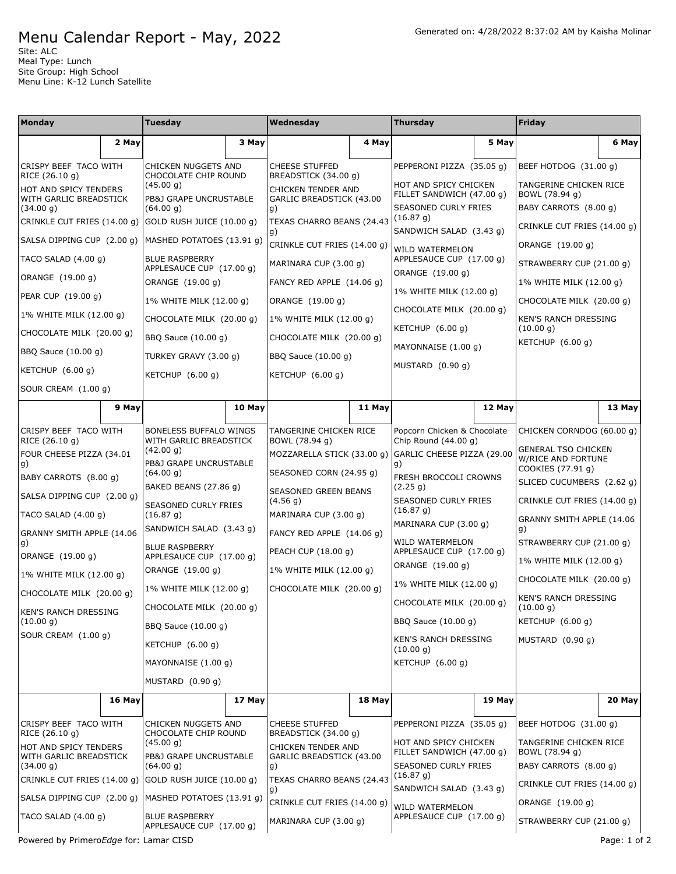## Menu Calendar Report - May, 2022

Site: ALC Meal Type: Lunch Site Group: High School Menu Line: K-12 Lunch Satellite

| <b>Monday</b>                                          |        | Tuesday                                           |        | Wednesday                                      |        | Thursday                                                   |        | Friday                                                                |        |
|--------------------------------------------------------|--------|---------------------------------------------------|--------|------------------------------------------------|--------|------------------------------------------------------------|--------|-----------------------------------------------------------------------|--------|
|                                                        | 2 May  |                                                   | 3 May  |                                                | 4 May  |                                                            | 5 May  |                                                                       | 6 May  |
| CRISPY BEEF TACO WITH<br>RICE (26.10 g)                |        | CHICKEN NUGGETS AND<br>CHOCOLATE CHIP ROUND       |        | <b>CHEESE STUFFED</b><br>BREADSTICK (34.00 g)  |        | PEPPERONI PIZZA (35.05 g)                                  |        | BEEF HOTDOG (31.00 g)                                                 |        |
| HOT AND SPICY TENDERS<br>WITH GARLIC BREADSTICK        |        | (45.00 g)<br>PB&J GRAPE UNCRUSTABLE               |        | CHICKEN TENDER AND<br>GARLIC BREADSTICK (43.00 |        | HOT AND SPICY CHICKEN<br>FILLET SANDWICH (47.00 g)         |        | TANGERINE CHICKEN RICE<br>BOWL (78.94 g)                              |        |
| (34.00 g)                                              |        | (64.00 g)                                         |        | g)                                             |        | SEASONED CURLY FRIES<br>(16.87 g)                          |        | BABY CARROTS (8.00 g)                                                 |        |
| CRINKLE CUT FRIES (14.00 g) GOLD RUSH JUICE (10.00 g)  |        |                                                   |        | TEXAS CHARRO BEANS (24.43<br>g)                |        | SANDWICH SALAD (3.43 g)                                    |        | CRINKLE CUT FRIES (14.00 g)                                           |        |
| SALSA DIPPING CUP (2.00 g)                             |        | MASHED POTATOES (13.91 g)                         |        | CRINKLE CUT FRIES (14.00 q)                    |        | WILD WATERMELON                                            |        | ORANGE (19.00 g)                                                      |        |
| TACO SALAD $(4.00 g)$                                  |        | <b>BLUE RASPBERRY</b><br>APPLESAUCE CUP (17.00 g) |        | MARINARA CUP (3.00 q)                          |        | APPLESAUCE CUP (17.00 g)<br>ORANGE (19.00 g)               |        | STRAWBERRY CUP (21.00 g)                                              |        |
| ORANGE (19.00 g)                                       |        | ORANGE (19.00 g)                                  |        | FANCY RED APPLE (14.06 g)                      |        | 1% WHITE MILK (12.00 g)                                    |        | 1% WHITE MILK (12.00 g)                                               |        |
| PEAR CUP (19.00 g)                                     |        | 1% WHITE MILK (12.00 g)                           |        | ORANGE (19.00 g)                               |        |                                                            |        | CHOCOLATE MILK (20.00 g)                                              |        |
| 1% WHITE MILK (12.00 g)                                |        | CHOCOLATE MILK (20.00 g)                          |        | 1% WHITE MILK (12.00 g)                        |        | CHOCOLATE MILK (20.00 g)                                   |        | KEN'S RANCH DRESSING                                                  |        |
| CHOCOLATE MILK (20.00 q)                               |        | BBQ Sauce (10.00 g)                               |        | CHOCOLATE MILK (20.00 g)                       |        | KETCHUP $(6.00 g)$                                         |        | (10.00 g)<br>KETCHUP (6.00 g)                                         |        |
| BBQ Sauce (10.00 g)                                    |        | TURKEY GRAVY (3.00 g)                             |        | BBQ Sauce (10.00 g)                            |        | MAYONNAISE (1.00 g)                                        |        |                                                                       |        |
| KETCHUP $(6.00 g)$                                     |        | KETCHUP $(6.00 g)$                                |        | KETCHUP $(6.00 q)$                             |        | MUSTARD (0.90 q)                                           |        |                                                                       |        |
| SOUR CREAM (1.00 g)                                    |        |                                                   |        |                                                |        |                                                            |        |                                                                       |        |
|                                                        | 9 May  |                                                   | 10 May |                                                | 11 May |                                                            | 12 May |                                                                       | 13 May |
| CRISPY BEEF TACO WITH                                  |        | BONELESS BUFFALO WINGS                            |        | TANGERINE CHICKEN RICE                         |        | Popcorn Chicken & Chocolate                                |        | CHICKEN CORNDOG (60.00 q)                                             |        |
| RICE (26.10 g)<br>FOUR CHEESE PIZZA (34.01             |        | WITH GARLIC BREADSTICK<br>(42.00 g)               |        | BOWL (78.94 g)<br>MOZZARELLA STICK (33.00 g)   |        | Chip Round $(44.00 g)$<br>GARLIC CHEESE PIZZA (29.00<br>g) |        | <b>GENERAL TSO CHICKEN</b><br>W/RICE AND FORTUNE<br>COOKIES (77.91 g) |        |
| g)                                                     |        | PB&J GRAPE UNCRUSTABLE                            |        | SEASONED CORN (24.95 g)                        |        |                                                            |        |                                                                       |        |
| BABY CARROTS (8.00 g)                                  |        | (64.00 g)<br>BAKED BEANS (27.86 g)                |        |                                                |        | FRESH BROCCOLI CROWNS<br>(2.25 g)                          |        | SLICED CUCUMBERS (2.62 g)                                             |        |
| SALSA DIPPING CUP (2.00 g)                             |        | SEASONED CURLY FRIES                              |        | SEASONED GREEN BEANS<br>(4.56 g)               |        | <b>SEASONED CURLY FRIES</b>                                |        | CRINKLE CUT FRIES (14.00 g)                                           |        |
| TACO SALAD $(4.00 g)$                                  |        | (16.87 g)                                         |        | MARINARA CUP (3.00 g)                          |        | (16.87 g)<br>MARINARA CUP (3.00 g)                         |        | GRANNY SMITH APPLE (14.06                                             |        |
| GRANNY SMITH APPLE (14.06                              |        | SANDWICH SALAD (3.43 g)                           |        | FANCY RED APPLE (14.06 g)                      |        | WILD WATERMELON                                            |        | g)<br>STRAWBERRY CUP (21.00 g)                                        |        |
| g)<br>ORANGE (19.00 g)                                 |        | <b>BLUE RASPBERRY</b><br>APPLESAUCE CUP (17.00 g) |        | PEACH CUP (18.00 g)                            |        | APPLESAUCE CUP (17.00 g)                                   |        | 1% WHITE MILK (12.00 g)                                               |        |
| 1% WHITE MILK (12.00 g)                                |        | ORANGE (19.00 g)                                  |        | 1% WHITE MILK (12.00 g)                        |        | ORANGE (19.00 g)                                           |        | CHOCOLATE MILK (20.00 g)                                              |        |
| CHOCOLATE MILK (20.00 g)                               |        | 1% WHITE MILK (12.00 g)                           |        | CHOCOLATE MILK (20.00 q)                       |        | 1% WHITE MILK (12.00 g)                                    |        |                                                                       |        |
| <b>KEN'S RANCH DRESSING</b>                            |        | CHOCOLATE MILK (20.00 g)                          |        |                                                |        | CHOCOLATE MILK (20.00 g)                                   |        | <b>KEN'S RANCH DRESSING</b><br>(10.00 g)                              |        |
| (10.00 g)                                              |        | BBQ Sauce (10.00 g)                               |        |                                                |        | BBQ Sauce (10.00 g)                                        |        | KETCHUP (6.00 g)                                                      |        |
| SOUR CREAM (1.00 g)                                    |        | KETCHUP (6.00 q)                                  |        |                                                |        | KEN'S RANCH DRESSING<br>(10.00 g)                          |        | MUSTARD (0.90 q)                                                      |        |
|                                                        |        | MAYONNAISE (1.00 g)                               |        |                                                |        | KETCHUP (6.00 g)                                           |        |                                                                       |        |
|                                                        |        | MUSTARD $(0.90 q)$                                |        |                                                |        |                                                            |        |                                                                       |        |
|                                                        | 16 May |                                                   | 17 May |                                                | 18 May |                                                            | 19 May |                                                                       | 20 May |
| CRISPY BEEF TACO WITH                                  |        | CHICKEN NUGGETS AND                               |        | <b>CHEESE STUFFED</b>                          |        | PEPPERONI PIZZA (35.05 g)                                  |        | BEEF HOTDOG (31.00 g)                                                 |        |
| RICE (26.10 g)<br>HOT AND SPICY TENDERS                |        | CHOCOLATE CHIP ROUND<br>(45.00 g)                 |        | BREADSTICK (34.00 g)<br>CHICKEN TENDER AND     |        | HOT AND SPICY CHICKEN<br>FILLET SANDWICH (47.00 g)         |        | TANGERINE CHICKEN RICE<br>BOWL (78.94 g)                              |        |
| WITH GARLIC BREADSTICK<br>(34.00 g)                    |        | PB&J GRAPE UNCRUSTABLE<br>(64.00 g)               |        | GARLIC BREADSTICK (43.00<br>g)                 |        | SEASONED CURLY FRIES                                       |        | BABY CARROTS (8.00 g)                                                 |        |
| CRINKLE CUT FRIES (14.00 g) GOLD RUSH JUICE (10.00 g)  |        |                                                   |        | TEXAS CHARRO BEANS (24.43                      |        | (16.87 g)<br>SANDWICH SALAD (3.43 g)                       |        | CRINKLE CUT FRIES (14.00 g)                                           |        |
| SALSA DIPPING CUP (2.00 g)   MASHED POTATOES (13.91 g) |        |                                                   |        | g)<br>CRINKLE CUT FRIES (14.00 g)              |        | WILD WATERMELON<br>APPLESAUCE CUP (17.00 g)                |        | ORANGE (19.00 g)                                                      |        |
| TACO SALAD (4.00 g)                                    |        | <b>BLUE RASPBERRY</b><br>APPLESAUCE CUP (17.00 g) |        | MARINARA CUP (3.00 g)                          |        |                                                            |        | STRAWBERRY CUP (21.00 g)                                              |        |
| Powered by PrimeroEdge for: Lamar CISD                 |        |                                                   |        |                                                |        |                                                            |        | Page: 1 of 2                                                          |        |